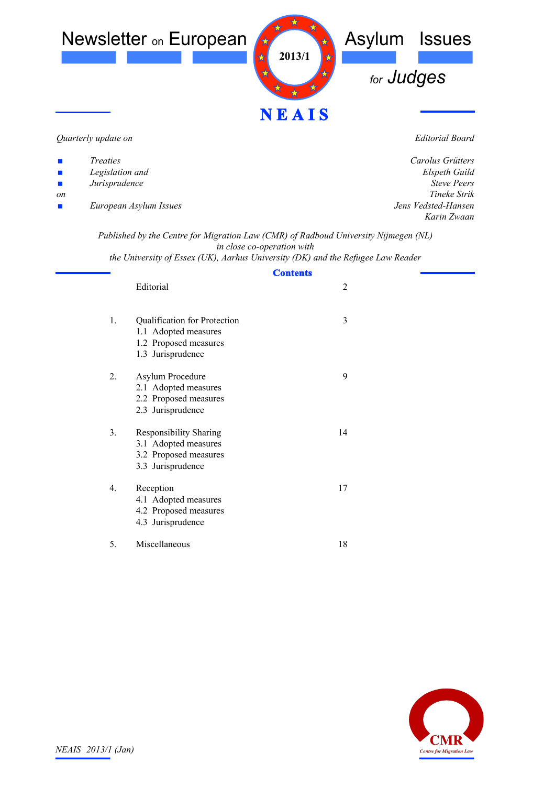

*Quarterly update on*

*Editorial Board*

| $\mathcal{L}_{\mathcal{A}}$ | <i>Treaties</i>        | Carolus Grütters    |
|-----------------------------|------------------------|---------------------|
| $\mathcal{L}_{\mathcal{A}}$ | Legislation and        | Elspeth Guild       |
| $\mathcal{L}_{\mathcal{A}}$ | Jurisprudence          | <b>Steve Peers</b>  |
| on                          |                        | Tineke Strik        |
| $\mathcal{L}_{\mathcal{A}}$ | European Asylum Issues | Jens Vedsted-Hansen |
|                             |                        | Karin Zwaan         |

*Published by the Centre for Migration Law (CMR) of Radboud University Nijmegen (NL) in close co-operation with*

*the University of Essex (UK), Aarhus University (DK) and the Refugee Law Reader*

| <b>Contents</b>                                                                                                       |                |  |
|-----------------------------------------------------------------------------------------------------------------------|----------------|--|
| Editorial                                                                                                             | $\overline{2}$ |  |
| $\mathbf{1}$ .<br>Qualification for Protection<br>1.1 Adopted measures<br>1.2 Proposed measures<br>1.3 Jurisprudence  | 3              |  |
| 2.<br>Asylum Procedure<br>2.1 Adopted measures<br>2.2 Proposed measures<br>2.3 Jurisprudence                          | 9              |  |
| 3 <sub>1</sub><br><b>Responsibility Sharing</b><br>3.1 Adopted measures<br>3.2 Proposed measures<br>3.3 Jurisprudence | 14             |  |
| 4.<br>Reception<br>4.1 Adopted measures<br>4.2 Proposed measures<br>4.3 Jurisprudence                                 | 17             |  |
| Miscellaneous<br>5.                                                                                                   | 18             |  |

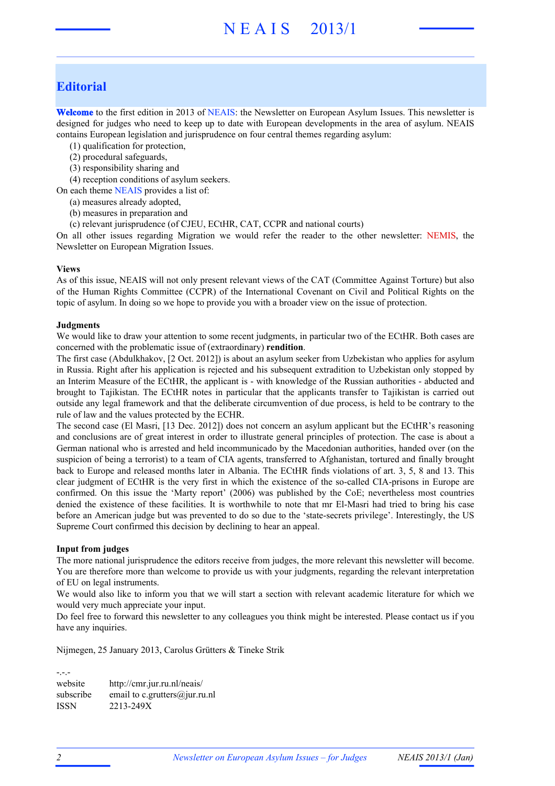# N E A I S 2013/1

## **Editorial**

**Welcome** to the first edition in 2013 of NEAIS: the Newsletter on European Asylum Issues. This newsletter is designed for judges who need to keep up to date with European developments in the area of asylum. NEAIS contains European legislation and jurisprudence on four central themes regarding asylum:

- (1) qualification for protection,
- (2) procedural safeguards,
- (3) responsibility sharing and

(4) reception conditions of asylum seekers.

On each theme NEAIS provides a list of:

- (a) measures already adopted,
- (b) measures in preparation and
- (c) relevant jurisprudence (of CJEU, ECtHR, CAT, CCPR and national courts)

On all other issues regarding Migration we would refer the reader to the other newsletter: NEMIS, the Newsletter on European Migration Issues.

#### **Views**

As of this issue, NEAIS will not only present relevant views of the CAT (Committee Against Torture) but also of the Human Rights Committee (CCPR) of the International Covenant on Civil and Political Rights on the topic of asylum. In doing so we hope to provide you with a broader view on the issue of protection.

#### **Judgments**

We would like to draw your attention to some recent judgments, in particular two of the ECtHR. Both cases are concerned with the problematic issue of (extraordinary) **rendition**.

The first case (Abdulkhakov, [2 Oct. 2012]) is about an asylum seeker from Uzbekistan who applies for asylum in Russia. Right after his application is rejected and his subsequent extradition to Uzbekistan only stopped by an Interim Measure of the ECtHR, the applicant is - with knowledge of the Russian authorities - abducted and brought to Tajikistan. The ECtHR notes in particular that the applicants transfer to Tajikistan is carried out outside any legal framework and that the deliberate circumvention of due process, is held to be contrary to the rule of law and the values protected by the ECHR.

The second case (El Masri, [13 Dec. 2012]) does not concern an asylum applicant but the ECtHR's reasoning and conclusions are of great interest in order to illustrate general principles of protection. The case is about a German national who is arrested and held incommunicado by the Macedonian authorities, handed over (on the suspicion of being a terrorist) to a team of CIA agents, transferred to Afghanistan, tortured and finally brought back to Europe and released months later in Albania. The ECtHR finds violations of art. 3, 5, 8 and 13. This clear judgment of ECtHR is the very first in which the existence of the so-called CIA-prisons in Europe are confirmed. On this issue the 'Marty report' (2006) was published by the CoE; nevertheless most countries denied the existence of these facilities. It is worthwhile to note that mr El-Masri had tried to bring his case before an American judge but was prevented to do so due to the 'state-secrets privilege'. Interestingly, the US Supreme Court confirmed this decision by declining to hear an appeal.

#### **Input from judges**

The more national jurisprudence the editors receive from judges, the more relevant this newsletter will become. You are therefore more than welcome to provide us with your judgments, regarding the relevant interpretation of EU on legal instruments.

We would also like to inform you that we will start a section with relevant academic literature for which we would very much appreciate your input.

Do feel free to forward this newsletter to any colleagues you think might be interested. Please contact us if you have any inquiries.

Nijmegen, 25 January 2013, Carolus Grütters & Tineke Strik

-.-. website http://cmr.jur.ru.nl/neais/ subscribe email to c.grutters@jur.ru.nl ISSN 2213-249X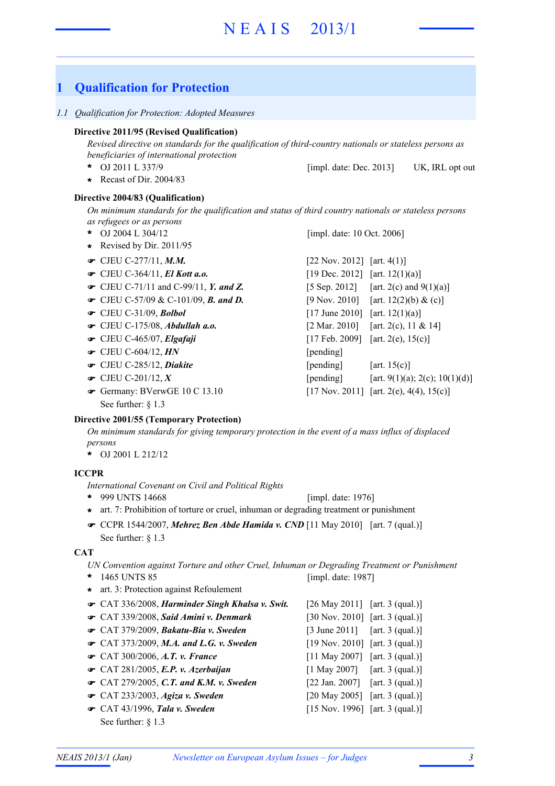# **1 Qualification for Protection**

*1.1 Qualification for Protection: Adopted Measures*

## **Directive 2011/95 (Revised Qualification)**

*Revised directive on standards for the qualification of third-country nationals or stateless persons as beneficiaries of international protection*

- OJ 2011 L 337/9 UK, IRL opt out **\*** [impl. date: Dec. 2013]
- **\*** Recast of Dir. 2004/83

## **Directive 2004/83 (Qualification)**

*On minimum standards for the qualification and status of third country nationals or stateless persons as refugees or as persons*

- OJ 2004 L 304/12 **\***
- **\*** Revised by Dir. 2011/95
- 
- 
- CJEU C-71/11 and C-99/11, *Y. and Z.* [5 Sep. 2012] [art. 2(c) and 9(1)(a)]
- CJEU C-57/09 & C-101/09, **B. and D.** [9 Nov. 2010] [art. 12(2)(b) & (c)]
- 
- 
- 
- **■** CJEU C-604/12, *HN* [pending]
- 
- 
- See further:  $§$  1.3

[impl. date: 10 Oct. 2006]

| $\bullet$ CJEU C-277/11, M.M.                      | [22 Nov. 2012] [art. $4(1)$ ]     |                                          |
|----------------------------------------------------|-----------------------------------|------------------------------------------|
| $\bullet$ CJEU C-364/11, El Kott a.o.              | [19 Dec. 2012] [art. 12(1)(a)]    |                                          |
| $\bullet$ CJEU C-71/11 and C-99/11, Y. and Z.      |                                   | [5 Sep. 2012] [art. 2(c) and $9(1)(a)$ ] |
| • CJEU C-57/09 & C-101/09, <b>B.</b> and <b>D.</b> |                                   | [9 Nov. 2010] [art. 12(2)(b) & (c)]      |
| $\bullet$ CJEU C-31/09, Bolbol                     | [17 June 2010] [art. $12(1)(a)$ ] |                                          |
| $\bullet$ CJEU C-175/08, Abdullah a.o.             |                                   | [2 Mar. 2010] [art. 2(c), 11 & 14]       |
| $\bullet$ CJEU C-465/07, Elgafaji                  |                                   | [17 Feb. 2009] [art. 2(e), $15(c)$ ]     |
| $\bullet$ CJEU C-604/12, HN                        | [pending]                         |                                          |
| CJEU C-285/12, Diakite                             | [pending]                         | [art. $15(c)$ ]                          |
| • CJEU C-201/12, $X$                               | [pending]                         | [art. 9(1)(a); 2(c); 10(1)(d)]           |
| Germany: BVerwGE 10 C 13.10                        |                                   | [17 Nov. 2011] [art. 2(e), 4(4), 15(c)]  |
| $\sim$ $\sim$ $\sim$ $\sim$ $\sim$                 |                                   |                                          |

## **Directive 2001/55 (Temporary Protection)**

*On minimum standards for giving temporary protection in the event of a mass influx of displaced persons*

OJ 2001 L 212/12 **\***

## **ICCPR**

*International Covenant on Civil and Political Rights*

- 999 UNTS 14668 **\*** [impl. date: 1976]
- **\*** art. 7: Prohibition of torture or cruel, inhuman or degrading treatment or punishment
- **CCPR** 1544/2007, *Mehrez Ben Abde Hamida v. CND* [11 May 2010] [art. 7 (qual.)] See further:  $§$  1.3

## **CAT**

*UN Convention against Torture and other Cruel, Inhuman or Degrading Treatment or Punishment*

1465 UNTS 85 **\*** CAT 336/2008, *Harminder Singh Khalsa v. Swit.* [26 May 2011] [art. 3 (qual.)] ! CAT 339/2008, *Said Amini v. Denmark* [30 Nov. 2010] [art. 3 (qual.)] !  **• CAT 379/2009,** *Bakatu-Bia v. Sweden* [3 June 2011] [art. 3 (qual.)] **■** CAT 373/2009, *M.A. and L.G. v. Sweden* [19 Nov. 2010] [art. 3 (qual.)] [11 May 2007] [art. 3 (qual.)] [1 May 2007] [art. 3 (qual.)] CAT 279/2005, *C.T. and K.M. v. Sweden* [22 Jan. 2007] [art. 3 (qual.)] ! CAT 233/2003, *Agiza v. Sweden* [20 May 2005] [art. 3 (qual.)] ! [15 Nov. 1996] [art. 3 (qual.)] See further: § 1.3 [impl. date: 1987] • CAT 300/2006, A.T. v. France  $\bullet$  CAT 281/2005, E.P. v. Azerbaijan • CAT 43/1996, Tala v. Sweden **\*** art. 3: Protection against Refoulement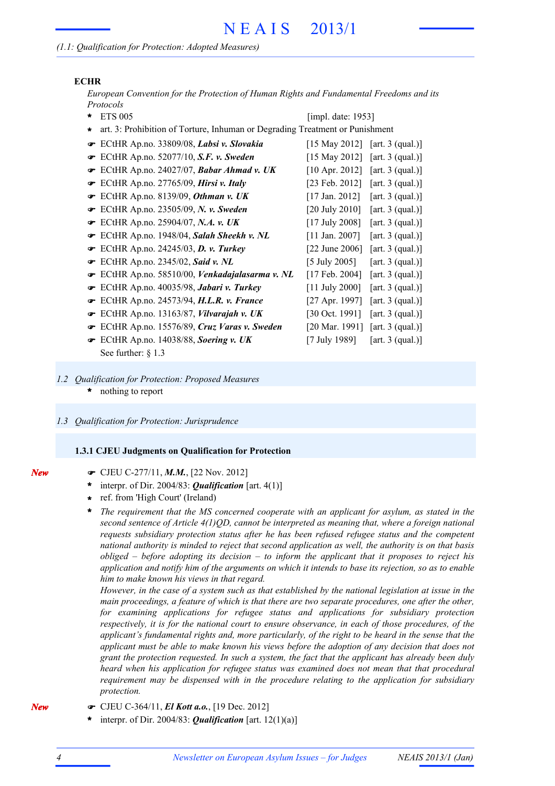### **ECHR**

*European Convention for the Protection of Human Rights and Fundamental Freedoms and its Protocols*

- ETS 005 **\*** ECtHR Ap.no. 33809/08, *Labsi v. Slovakia* [15 May 2012] [art. 3 (qual.)] ! **■** ECtHR Ap.no. 52077/10, S.F. v. Sweden [15 May 2012] [art. 3 (qual.)] **■** ECtHR Ap.no. 24027/07, *Babar Ahmad v. UK* [10 Apr. 2012] [art. 3 (qual.)] ECtHR Ap.no. 27765/09, *Hirsi v. Italy* [23 Feb. 2012] [art. 3 (qual.)] ! **■** ECtHR Ap.no. 8139/09, *Othman v. UK* [17 Jan. 2012] [art. 3 (qual.)] ECtHR Ap.no. 23505/09, *N. v. Sweden* [20 July 2010] [art. 3 (qual.)] ! **■** ECtHR Ap.no. 25904/07, *N.A.* v. *UK* [17 July 2008] [art. 3 (qual.)] **■** ECtHR Ap.no. 1948/04, *Salah Sheekh v. NL* [11 Jan. 2007] [art. 3 (qual.)] **■** ECtHR Ap.no. 24245/03, **D. v. Turkey** [22 June 2006] [art. 3 (qual.)] **■** ECtHR Ap.no. 2345/02, *Said v. NL* [5 July 2005] [art. 3 (qual.)] ECtHR Ap.no. 58510/00, *Venkadajalasarma v. NL* [17 Feb. 2004] [art. 3 (qual.)] ! ECtHR Ap.no. 40035/98, *Jabari v. Turkey* [11 July 2000] [art. 3 (qual.)] ! ECtHR Ap.no. 24573/94, *H.L.R. v. France* [27 Apr. 1997] [art. 3 (qual.)] ! **■** ECtHR Ap.no. 13163/87, *Vilvarajah v. UK* [30 Oct. 1991] [art. 3 (qual.)] ECtHR Ap.no. 15576/89, *Cruz Varas v. Sweden* [20 Mar. 1991] [art. 3 (qual.)] ! **■** ECtHR Ap.no. 14038/88, *Soering v. UK* [7 July 1989] [art. 3 (qual.)] See further:  $§$  1.3 [impl. date: 1953] **\*** art. 3: Prohibition of Torture, Inhuman or Degrading Treatment or Punishment
- nothing to report **\*** *1.2 Qualification for Protection: Proposed Measures*
- *1.3 Qualification for Protection: Jurisprudence*

#### **1.3.1 CJEU Judgments on Qualification for Protection**

- ! CJEU C-277/11, *M.M.*, [22 Nov. 2012]
- interpr. of Dir. 2004/83: *Qualification* [art. 4(1)] **\***
- ref. from 'High Court' (Ireland) **\***
- *The requirement that the MS concerned cooperate with an applicant for asylum, as stated in the second sentence of Article 4(1)QD, cannot be interpreted as meaning that, where a foreign national requests subsidiary protection status after he has been refused refugee status and the competent national authority is minded to reject that second application as well, the authority is on that basis obliged – before adopting its decision – to inform the applicant that it proposes to reject his* application and notify him of the arguments on which it intends to base its rejection, so as to enable *him to make known his views in that regard.* **\***

However, in the case of a system such as that established by the national legislation at issue in the *main proceedings, a feature of which is that there are two separate procedures, one after the other, for examining applications for refugee status and applications for subsidiary protection respectively, it is for the national court to ensure observance, in each of those procedures, of the applicant's fundamental rights and, more particularly, of the right to be heard in the sense that the applicant must be able to make known his views before the adoption of any decision that does not grant the protection requested. In such a system, the fact that the applicant has already been duly heard when his application for refugee status was examined does not mean that that procedural requirement may be dispensed with in the procedure relating to the application for subsidiary protection.*

- ! CJEU C-364/11, *El Kott a.o.*, [19 Dec. 2012]
	- interpr. of Dir. 2004/83: *Qualification* [art. 12(1)(a)] **\***

*New*

*New*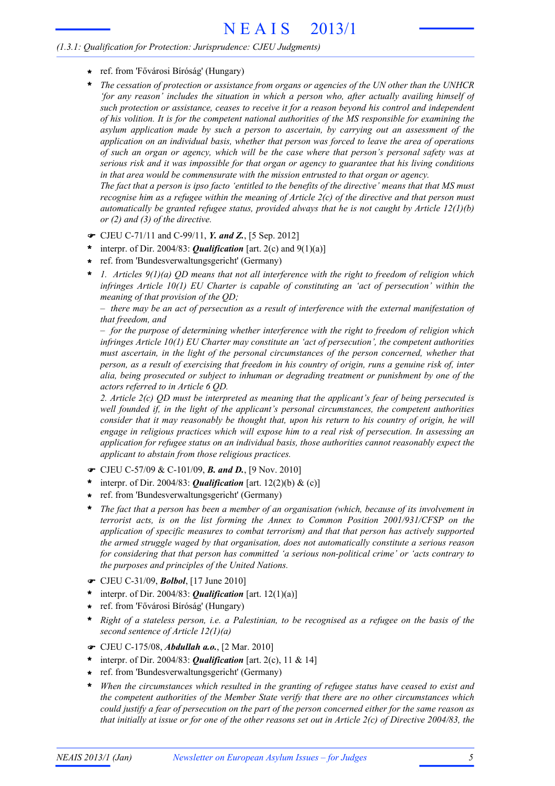### *(1.3.1: Qualification for Protection: Jurisprudence: CJEU Judgments)*

- ref. from 'Fővárosi Bíróság' (Hungary) **\***
- *The cessation of protection or assistance from organs or agencies of the UN other than the UNHCR 'for any reason' includes the situation in which a person who, after actually availing himself of such protection or assistance, ceases to receive it for a reason beyond his control and independent of his volition. It is for the competent national authorities of the MS responsible for examining the asylum application made by such a person to ascertain, by carrying out an assessment of the application on an individual basis, whether that person was forced to leave the area of operations of such an organ or agency, which will be the case where that person's personal safety was at serious risk and it was impossible for that organ or agency to guarantee that his living conditions in that area would be commensurate with the mission entrusted to that organ or agency.* **\***

The fact that a person is ipso facto 'entitled to the benefits of the directive' means that that MS must recognise him as a refugee within the meaning of Article  $2(c)$  of the directive and that person must *automatically be granted refugee status, provided always that he is not caught by Article 12(1)(b) or (2) and (3) of the directive.*

- ! CJEU C-71/11 and C-99/11, *Y. and Z.*, [5 Sep. 2012]
- interpr. of Dir. 2004/83: *Qualification* [art. 2(c) and 9(1)(a)] **\***
- ref. from 'Bundesverwaltungsgericht' (Germany) **\***
- *1. Articles 9(1)(a) QD means that not all interference with the right to freedom of religion which infringes Article 10(1) EU Charter is capable of constituting an 'act of persecution' within the meaning of that provision of the QD;* **\***

 $-$  there may be an act of persecution as a result of interference with the external manifestation of *that freedom, and*

*– for the purpose of determining whether interference with the right to freedom of religion which infringes Article 10(1) EU Charter may constitute an 'act of persecution', the competent authorities must ascertain, in the light of the personal circumstances of the person concerned, whether that* person, as a result of exercising that freedom in his country of origin, runs a genuine risk of, inter *alia, being prosecuted or subject to inhuman or degrading treatment or punishment by one of the actors referred to in Article 6 QD.*

*2. Article 2(c) QD must be interpreted as meaning that the applicant's fear of being persecuted is well founded if, in the light of the applicant's personal circumstances, the competent authorities consider that it may reasonably be thought that, upon his return to his country of origin, he will engage in religious practices which will expose him to a real risk of persecution. In assessing an application for refugee status on an individual basis, those authorities cannot reasonably expect the applicant to abstain from those religious practices.*

- ! CJEU C-57/09 & C-101/09, *B. and D.*, [9 Nov. 2010]
- interpr. of Dir. 2004/83: *Qualification* [art. 12(2)(b) & (c)] **\***
- ref. from 'Bundesverwaltungsgericht' (Germany) **\***
- *The fact that a person has been a member of an organisation (which, because of its involvement in terrorist acts, is on the list forming the Annex to Common Position 2001/931/CFSP on the application of specific measures to combat terrorism) and that that person has actively supported the armed struggle waged by that organisation, does not automatically constitute a serious reason for considering that that person has committed 'a serious non-political crime' or 'acts contrary to the purposes and principles of the United Nations.* **\***
- ! CJEU C-31/09, *Bolbol*, [17 June 2010]
- interpr. of Dir. 2004/83: *Qualification* [art. 12(1)(a)] **\***
- ref. from 'Fővárosi Bíróság' (Hungary) **\***
- \* Right of a stateless person, i.e. a Palestinian, to be recognised as a refugee on the basis of the *second sentence of Article 12(1)(a)*
- ! CJEU C-175/08, *Abdullah a.o.*, [2 Mar. 2010]
- interpr. of Dir. 2004/83: *Qualification* [art. 2(c), 11 & 14] **\***
- ref. from 'Bundesverwaltungsgericht' (Germany) **\***
- *When the circumstances which resulted in the granting of refugee status have ceased to exist and the competent authorities of the Member State verify that there are no other circumstances which* could justify a fear of persecution on the part of the person concerned either for the same reason as that initially at issue or for one of the other reasons set out in Article  $2(c)$  of Directive 2004/83, the **\***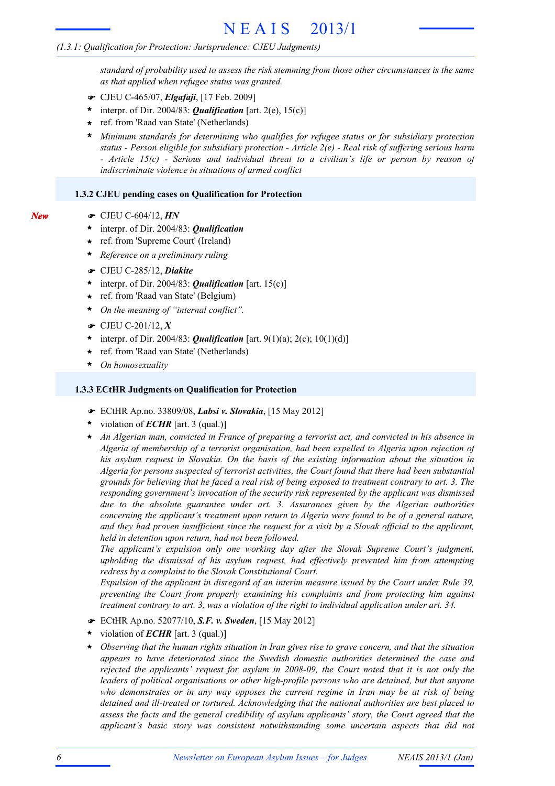#### *(1.3.1: Qualification for Protection: Jurisprudence: CJEU Judgments)*

*standard of probability used to assess the risk stemming from those other circumstances is the same as that applied when refugee status was granted.*

- ! CJEU C-465/07, *Elgafaji*, [17 Feb. 2009]
- interpr. of Dir. 2004/83: *Qualification* [art. 2(e), 15(c)] **\***
- ref. from 'Raad van State' (Netherlands) **\***

*Minimum standards for determining who qualifies for refugee status or for subsidiary protection status - Person eligible for subsidiary protection - Article 2(e) - Real risk of suffering serious harm - Article 15(c) - Serious and individual threat to a civilian's life or person by reason of indiscriminate violence in situations of armed conflict* **\***

#### **1.3.2 CJEU pending cases on Qualification for Protection**

- *New*
- ! CJEU C-604/12, *HN*
- interpr. of Dir. 2004/83: *Qualification* **\***
- ref. from 'Supreme Court' (Ireland) **\***
- *Reference on a preliminary ruling* **\***
- ! CJEU C-285/12, *Diakite*
- \* interpr. of Dir. 2004/83: **Qualification** [art. 15(c)]
- ref. from 'Raad van State' (Belgium) **\***
- *On the meaning of "internal conflict".* **\***
- ! CJEU C-201/12, *X*
- interpr. of Dir. 2004/83: *Qualification* [art. 9(1)(a); 2(c); 10(1)(d)] **\***
- ref. from 'Raad van State' (Netherlands) **\***
- *On homosexuality* **\***

#### **1.3.3 ECtHR Judgments on Qualification for Protection**

- ! ECtHR Ap.no. 33809/08, *Labsi v. Slovakia*, [15 May 2012]
- violation of *ECHR* [art. 3 (qual.)] **\***
- *An Algerian man, convicted in France of preparing a terrorist act, and convicted in his absence in Algeria of membership of a terrorist organisation, had been expelled to Algeria upon rejection of his asylum request in Slovakia. On the basis of the existing information about the situation in Algeria for persons suspected of terrorist activities, the Court found that there had been substantial* grounds for believing that he faced a real risk of being exposed to treatment contrary to art. 3. The *responding government's invocation of the security risk represented by the applicant was dismissed due to the absolute guarantee under art. 3. Assurances given by the Algerian authorities concerning the applicant's treatment upon return to Algeria were found to be of a general nature,* and they had proven insufficient since the request for a visit by a Slovak official to the applicant, *held in detention upon return, had not been followed.* **\***

*The applicant's expulsion only one working day after the Slovak Supreme Court's judgment, upholding the dismissal of his asylum request, had effectively prevented him from attempting redress by a complaint to the Slovak Constitutional Court.*

*Expulsion of the applicant in disregard of an interim measure issued by the Court under Rule 39, preventing the Court from properly examining his complaints and from protecting him against treatment contrary to art. 3, was a violation of the right to individual application under art. 34.*

- ! ECtHR Ap.no. 52077/10, *S.F. v. Sweden*, [15 May 2012]
- violation of *ECHR* [art. 3 (qual.)] **\***
- *Observing that the human rights situation in Iran gives rise to grave concern, and that the situation appears to have deteriorated since the Swedish domestic authorities determined the case and rejected the applicants' request for asylum in 2008-09, the Court noted that it is not only the leaders of political organisations or other high-profile persons who are detained, but that anyone who demonstrates or in any way opposes the current regime in Iran may be at risk of being detained and ill-treated or tortured. Acknowledging that the national authorities are best placed to assess the facts and the general credibility of asylum applicants' story, the Court agreed that the applicant's basic story was consistent notwithstanding some uncertain aspects that did not* **\***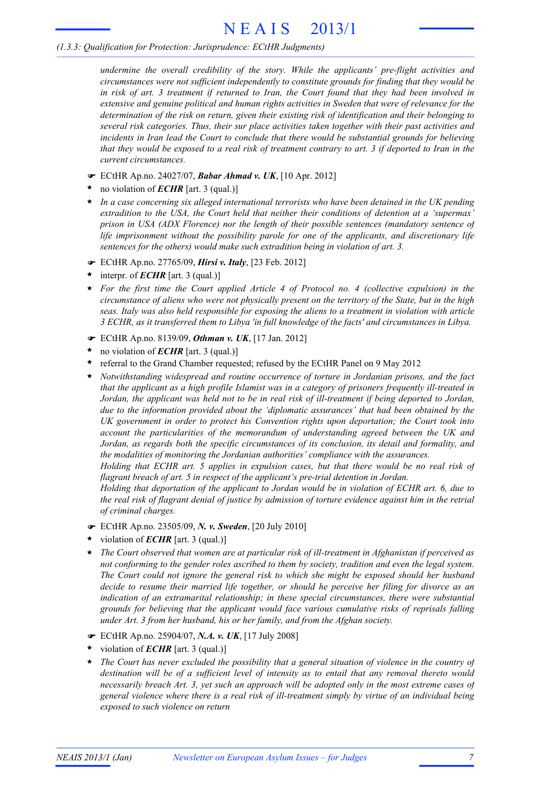# N E A I S 2013/1

#### *(1.3.3: Qualification for Protection: Jurisprudence: ECtHR Judgments)*

*undermine the overall credibility of the story. While the applicants' pre-flight activities and circumstances were not sufficient independently to constitute grounds for finding that they would be* in risk of art. 3 treatment if returned to Iran, the Court found that they had been involved in *extensive and genuine political and human rights activities in Sweden that were of relevance for the determination of the risk on return, given their existing risk of identification and their belonging to several risk categories. Thus, their sur place activities taken together with their past activities and incidents in Iran lead the Court to conclude that there would be substantial grounds for believing* that they would be exposed to a real risk of treatment contrary to art. 3 if deported to Iran in the *current circumstances.*

- ! ECtHR Ap.no. 24027/07, *Babar Ahmad v. UK*, [10 Apr. 2012]
- no violation of *ECHR* [art. 3 (qual.)] **\***
- *In a case concerning six alleged international terrorists who have been detained in the UK pending extradition to the USA, the Court held that neither their conditions of detention at a 'supermax' prison in USA (ADX Florence) nor the length of their possible sentences (mandatory sentence of life imprisonment without the possibility parole for one of the applicants, and discretionary life sentences for the others) would make such extradition being in violation of art. 3.* **\***
- ! ECtHR Ap.no. 27765/09, *Hirsi v. Italy*, [23 Feb. 2012]
- interpr. of *ECHR* [art. 3 (qual.)] **\***
- *For the first time the Court applied Article 4 of Protocol no. 4 (collective expulsion) in the* **\*** circumstance of aliens who were not physically present on the territory of the State, but in the high *seas. Italy was also held responsible for exposing the aliens to a treatment in violation with article 3 ECHR, as it transferred them to Libya 'in full knowledge of the facts' and circumstances in Libya.*
- ! ECtHR Ap.no. 8139/09, *Othman v. UK*, [17 Jan. 2012]
- no violation of *ECHR* [art. 3 (qual.)] **\***
- referral to the Grand Chamber requested; refused by the ECtHR Panel on 9 May 2012 **\***
- *Notwithstanding widespread and routine occurrence of torture in Jordanian prisons, and the fact that the applicant as a high profile Islamist was in a category of prisoners frequently ill-treated in* Jordan, the applicant was held not to be in real risk of ill-treatment if being deported to Jordan, *due to the information provided about the 'diplomatic assurances' that had been obtained by the UK government in order to protect his Convention rights upon deportation; the Court took into account the particularities of the memorandum of understanding agreed between the UK and Jordan, as regards both the specific circumstances of its conclusion, its detail and formality, and the modalities of monitoring the Jordanian authorities' compliance with the assurances.* **\***

*Holding that ECHR art. 5 applies in expulsion cases, but that there would be no real risk of flagrant breach of art. 5 in respect of the applicant's pre-trial detention in Jordan.*

*Holding that deportation of the applicant to Jordan would be in violation of ECHR art. 6, due to* the real risk of flagrant denial of justice by admission of torture evidence against him in the retrial *of criminal charges.*

- ! ECtHR Ap.no. 23505/09, *N. v. Sweden*, [20 July 2010]
- violation of *ECHR* [art. 3 (qual.)] **\***
- *The Court observed that women are at particular risk of ill-treatment in Afghanistan if perceived as not conforming to the gender roles ascribed to them by society, tradition and even the legal system. The Court could not ignore the general risk to which she might be exposed should her husband decide to resume their married life together, or should he perceive her filing for divorce as an indication of an extramarital relationship; in these special circumstances, there were substantial grounds for believing that the applicant would face various cumulative risks of reprisals falling under Art. 3 from her husband, his or her family, and from the Afghan society.* **\***
- ! ECtHR Ap.no. 25904/07, *N.A. v. UK*, [17 July 2008]
- violation of *ECHR* [art. 3 (qual.)] **\***
- *The Court has never excluded the possibility that a general situation of violence in the country of destination will be of a sufficient level of intensity as to entail that any removal thereto would necessarily breach Art. 3, yet such an approach will be adopted only in the most extreme cases of general violence where there is a real risk of ill-treatment simply by virtue of an individual being exposed to such violence on return* **\***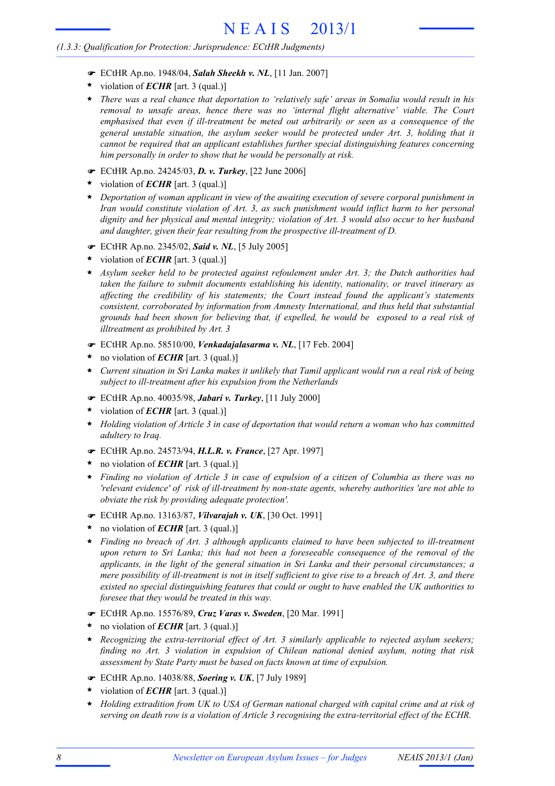#### *(1.3.3: Qualification for Protection: Jurisprudence: ECtHR Judgments)*

- ! ECtHR Ap.no. 1948/04, *Salah Sheekh v. NL*, [11 Jan. 2007]
- violation of *ECHR* [art. 3 (qual.)] **\***
- *There was a real chance that deportation to 'relatively safe' areas in Somalia would result in his removal to unsafe areas, hence there was no 'internal flight alternative' viable. The Court emphasised that even if ill-treatment be meted out arbitrarily or seen as a consequence of the general unstable situation, the asylum seeker would be protected under Art. 3, holding that it cannot be required that an applicant establishes further special distinguishing features concerning him personally in order to show that he would be personally at risk.* **\***
- ! ECtHR Ap.no. 24245/03, *D. v. Turkey*, [22 June 2006]
- violation of *ECHR* [art. 3 (qual.)] **\***
- *Deportation of woman applicant in view of the awaiting execution of severe corporal punishment in* **\*** *Iran would constitute violation of Art. 3, as such punishment would inflict harm to her personal dignity and her physical and mental integrity; violation of Art. 3 would also occur to her husband and daughter, given their fear resulting from the prospective ill-treatment of D.*
- ! ECtHR Ap.no. 2345/02, *Said v. NL*, [5 July 2005]
- violation of *ECHR* [art. 3 (qual.)] **\***
- *Asylum seeker held to be protected against refoulement under Art. 3; the Dutch authorities had taken the failure to submit documents establishing his identity, nationality, or travel itinerary as affecting the credibility of his statements; the Court instead found the applicant's statements consistent, corroborated by information from Amnesty International, and thus held that substantial grounds had been shown for believing that, if expelled, he would be exposed to a real risk of illtreatment as prohibited by Art. 3* **\***
- ! ECtHR Ap.no. 58510/00, *Venkadajalasarma v. NL*, [17 Feb. 2004]
- no violation of *ECHR* [art. 3 (qual.)] **\***
- Current situation in Sri Lanka makes it unlikely that Tamil applicant would run a real risk of being *subject to ill-treatment after his expulsion from the Netherlands*
- ! ECtHR Ap.no. 40035/98, *Jabari v. Turkey*, [11 July 2000]
- violation of *ECHR* [art. 3 (qual.)] **\***
- *Holding violation of Article 3 in case of deportation that would return a woman who has committed adultery to Iraq.* **\***
- ! ECtHR Ap.no. 24573/94, *H.L.R. v. France*, [27 Apr. 1997]
- no violation of *ECHR* [art. 3 (qual.)] **\***
- \* Finding no violation of Article 3 in case of expulsion of a citizen of Columbia as there was no *'relevant evidence' of risk of ill-treatment by non-state agents, whereby authorities 'are not able to obviate the risk by providing adequate protection'.*
- ! ECtHR Ap.no. 13163/87, *Vilvarajah v. UK*, [30 Oct. 1991]
- no violation of *ECHR* [art. 3 (qual.)] **\***
- *Finding no breach of Art. 3 although applicants claimed to have been subjected to ill-treatment upon return to Sri Lanka; this had not been a foreseeable consequence of the removal of the applicants, in the light of the general situation in Sri Lanka and their personal circumstances; a* mere possibility of ill-treatment is not in itself sufficient to give rise to a breach of Art. 3, and there *existed no special distinguishing features that could or ought to have enabled the UK authorities to foresee that they would be treated in this way.* **\***
- ! ECtHR Ap.no. 15576/89, *Cruz Varas v. Sweden*, [20 Mar. 1991]
- no violation of *ECHR* [art. 3 (qual.)] **\***
- *Recognizing the extra-territorial effect of Art. 3 similarly applicable to rejected asylum seekers;* **\*** *finding no Art. 3 violation in expulsion of Chilean national denied asylum, noting that risk assessment by State Party must be based on facts known at time of expulsion.*
- ! ECtHR Ap.no. 14038/88, *Soering v. UK*, [7 July 1989]
- violation of *ECHR* [art. 3 (qual.)] **\***
- *Holding extradition from UK to USA of German national charged with capital crime and at risk of serving on death row is a violation of Article 3 recognising the extra-territorial effect of the ECHR.* **\***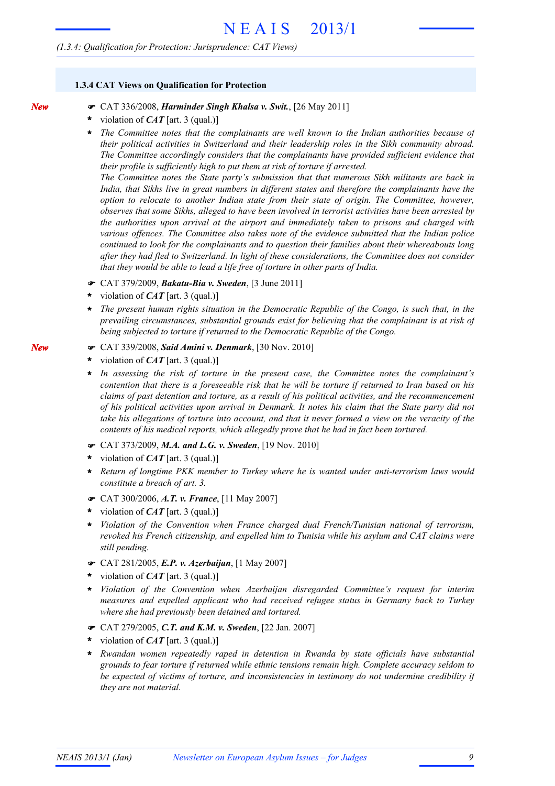#### *(1.3.4: Qualification for Protection: Jurisprudence: CAT Views)*

#### **1.3.4 CAT Views on Qualification for Protection**

- ! CAT 336/2008, *Harminder Singh Khalsa v. Swit.*, [26 May 2011]
	- violation of *CAT* [art. 3 (qual.)] **\***
	- *The Committee notes that the complainants are well known to the Indian authorities because of their political activities in Switzerland and their leadership roles in the Sikh community abroad. The Committee accordingly considers that the complainants have provided sufficient evidence that their profile is sufficiently high to put them at risk of torture if arrested.* **\***

*The Committee notes the State party's submission that that numerous Sikh militants are back in India, that Sikhs live in great numbers in different states and therefore the complainants have the option to relocate to another Indian state from their state of origin. The Committee, however, observes that some Sikhs, alleged to have been involved in terrorist activities have been arrested by the authorities upon arrival at the airport and immediately taken to prisons and charged with various offences. The Committee also takes note of the evidence submitted that the Indian police continued to look for the complainants and to question their families about their whereabouts long after they had fled to Switzerland. In light of these considerations, the Committee does not consider that they would be able to lead a life free of torture in other parts of India.*

- ! CAT 379/2009, *Bakatu-Bia v. Sweden*, [3 June 2011]
- violation of *CAT* [art. 3 (qual.)] **\***
- *The present human rights situation in the Democratic Republic of the Congo, is such that, in the prevailing circumstances, substantial grounds exist for believing that the complainant is at risk of being subjected to torture if returned to the Democratic Republic of the Congo.* **\***
- ! CAT 339/2008, *Said Amini v. Denmark*, [30 Nov. 2010]
- violation of *CAT* [art. 3 (qual.)] **\***
- *In assessing the risk of torture in the present case, the Committee notes the complainant's* contention that there is a foreseeable risk that he will be torture if returned to Iran based on his *claims of past detention and torture, as a result of his political activities, and the recommencement* of his political activities upon arrival in Denmark. It notes his claim that the State party did not take his allegations of torture into account, and that it never formed a view on the veracity of the *contents of his medical reports, which allegedly prove that he had in fact been tortured.* **\***
- ! CAT 373/2009, *M.A. and L.G. v. Sweden*, [19 Nov. 2010]
- violation of *CAT* [art. 3 (qual.)] **\***
- *Return of longtime PKK member to Turkey where he is wanted under anti-terrorism laws would constitute a breach of art. 3.* **\***
- ! CAT 300/2006, *A.T. v. France*, [11 May 2007]
- violation of *CAT* [art. 3 (qual.)] **\***
- *Violation of the Convention when France charged dual French/Tunisian national of terrorism, revoked his French citizenship, and expelled him to Tunisia while his asylum and CAT claims were still pending.* **\***
- ! CAT 281/2005, *E.P. v. Azerbaijan*, [1 May 2007]
- violation of *CAT* [art. 3 (qual.)] **\***
- *Violation of the Convention when Azerbaijan disregarded Committee's request for interim measures and expelled applicant who had received refugee status in Germany back to Turkey where she had previously been detained and tortured.* **\***
- ! CAT 279/2005, *C.T. and K.M. v. Sweden*, [22 Jan. 2007]
- violation of *CAT* [art. 3 (qual.)] **\***
- *Rwandan women repeatedly raped in detention in Rwanda by state officials have substantial grounds to fear torture if returned while ethnic tensions remain high. Complete accuracy seldom to be expected of victims of torture, and inconsistencies in testimony do not undermine credibility if they are not material.* **\***

*New*

*New*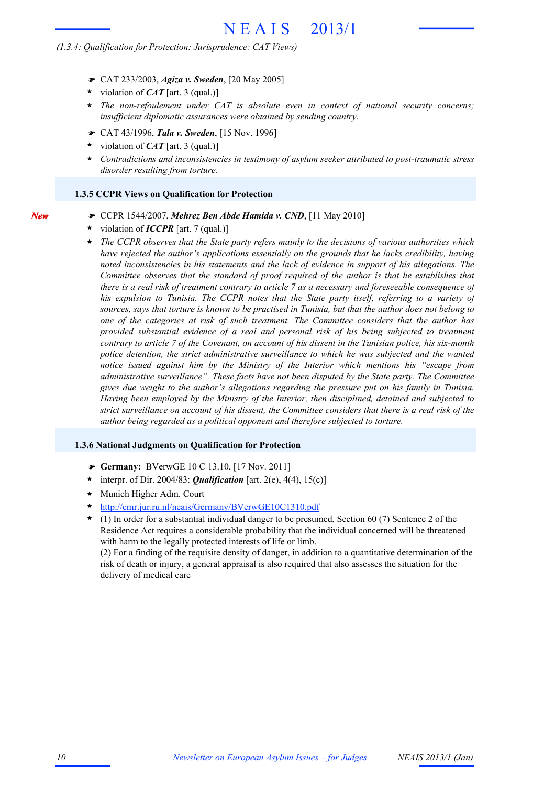#### *(1.3.4: Qualification for Protection: Jurisprudence: CAT Views)*

- ! CAT 233/2003, *Agiza v. Sweden*, [20 May 2005]
- violation of *CAT* [art. 3 (qual.)] **\***
- *The non-refoulement under CAT is absolute even in context of national security concerns;* **\*** *insufficient diplomatic assurances were obtained by sending country.*
- ! CAT 43/1996, *Tala v. Sweden*, [15 Nov. 1996]
- violation of *CAT* [art. 3 (qual.)] **\***
- *Contradictions and inconsistencies in testimony of asylum seeker attributed to post-traumatic stress disorder resulting from torture.* **\***

#### **1.3.5 CCPR Views on Qualification for Protection**

- ! CCPR 1544/2007, *Mehrez Ben Abde Hamida v. CND*, [11 May 2010]
- violation of *ICCPR* [art. 7 (qual.)] **\***

*New*

*The CCPR observes that the State party refers mainly to the decisions of various authorities which have rejected the author's applications essentially on the grounds that he lacks credibility, having noted inconsistencies in his statements and the lack of evidence in support of his allegations. The Committee observes that the standard of proof required of the author is that he establishes that* there is a real risk of treatment contrary to article 7 as a necessary and foreseeable consequence of *his expulsion to Tunisia. The CCPR notes that the State party itself, referring to a variety of* sources, says that torture is known to be practised in Tunisia, but that the author does not belong to *one of the categories at risk of such treatment. The Committee considers that the author has provided substantial evidence of a real and personal risk of his being subjected to treatment* contrary to article 7 of the Covenant, on account of his dissent in the Tunisian police, his six-month *police detention, the strict administrative surveillance to which he was subjected and the wanted notice issued against him by the Ministry of the Interior which mentions his "escape from administrative surveillance". These facts have not been disputed by the State party. The Committee gives due weight to the author's allegations regarding the pressure put on his family in Tunisia. Having been employed by the Ministry of the Interior, then disciplined, detained and subjected to* strict surveillance on account of his dissent, the Committee considers that there is a real risk of the *author being regarded as a political opponent and therefore subjected to torture.* **\***

#### **1.3.6 National Judgments on Qualification for Protection**

- ! **Germany:** BVerwGE 10 C 13.10, [17 Nov. 2011]
- interpr. of Dir. 2004/83: *Qualification* [art. 2(e), 4(4), 15(c)] **\***
- Munich Higher Adm. Court **\***
- http://cmr.jur.ru.nl/neais/Germany/BVerwGE10C1310.pdf **\***
- (1) In order for a substantial individual danger to be presumed, Section 60 (7) Sentence 2 of the Residence Act requires a considerable probability that the individual concerned will be threatened with harm to the legally protected interests of life or limb. **\***

(2) For a finding of the requisite density of danger, in addition to a quantitative determination of the risk of death or injury, a general appraisal is also required that also assesses the situation for the delivery of medical care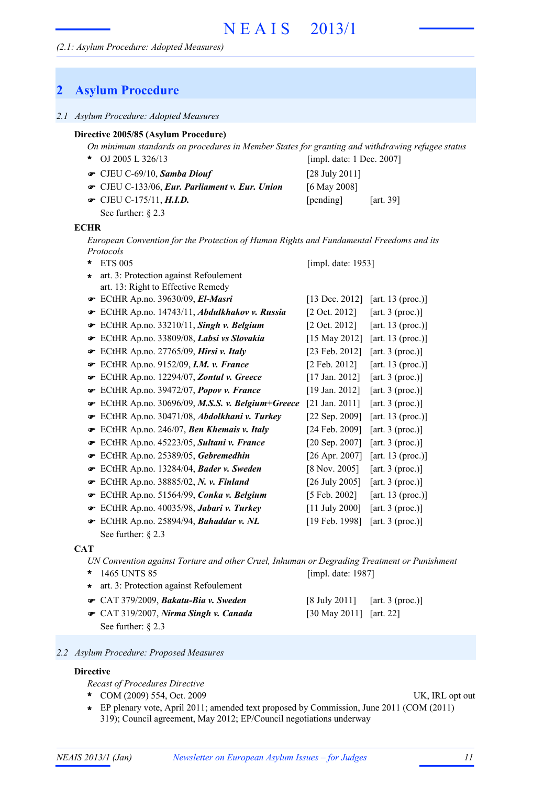## **2 Asylum Procedure**

#### *2.1 Asylum Procedure: Adopted Measures*

#### **Directive 2005/85 (Asylum Procedure)**

*On minimum standards on procedures in Member States for granting and withdrawing refugee status* OJ 2005 L 326/13 **\*** [impl. date: 1 Dec. 2007]

| [art. $39$ ] |
|--------------|
|              |

See further: § 2.3

#### **ECHR**

*European Convention for the Protection of Human Rights and Fundamental Freedoms and its Protocols*

| ÷        | <b>ETS 005</b>                                  | [impl. date: 1953]        |                     |
|----------|-------------------------------------------------|---------------------------|---------------------|
|          | art. 3: Protection against Refoulement          |                           |                     |
|          | art. 13: Right to Effective Remedy              |                           |                     |
|          | ECtHR Ap.no. 39630/09, El-Masri                 | [13 Dec. 2012]            | [art. $13$ (proc.)] |
|          | ECtHR Ap.no. 14743/11, Abdulkhakov v. Russia    | $[2 \text{ Oct. } 2012]$  | [art. 3 (proc.)]    |
|          | ECtHR Ap.no. $33210/11$ , Singh v. Belgium      | $[2 \text{ Oct. } 2012]$  | [art. 13 (proc.)]   |
| <b>G</b> | ECtHR Ap.no. 33809/08, Labsi vs Slovakia        | [15 May 2012]             | [art. 13 (proc.)]   |
| Ŧ        | ECtHR Ap.no. 27765/09, <i>Hirsi v. Italy</i>    | [23 Feb. $2012$ ]         | [art. $3$ (proc.)]  |
| ☞        | ECtHR Ap.no. 9152/09, <i>I.M. v. France</i>     | $[2 \text{ Feb. } 2012]$  | [art. 13 (proc.)]   |
|          | ECtHR Ap.no. 12294/07, Zontul v. Greece         | $[17 \text{ Jan. } 2012]$ | [art. $3$ (proc.)]  |
| Ŧ        | ECtHR Ap.no. 39472/07, Popov v. France          | $[19 \text{ Jan. } 2012]$ | [art. $3$ (proc.)]  |
| œ        | ECtHR Ap.no. 30696/09, M.S.S. v. Belgium+Greece | [21 Jan. 2011]            | [art. 3 (proc.)]    |
|          | ECtHR Ap.no. 30471/08, Abdolkhani v. Turkey     | [22 Sep. 2009]            | [art. 13 (proc.)]   |
|          | ECtHR Ap.no. 246/07, Ben Khemais v. Italy       | [24 Feb. 2009]            | [art. 3 (proc.)]    |
|          | ECtHR Ap.no. 45223/05, Sultani v. France        | [20 Sep. 2007]            | [art. 3 (proc.)]    |
|          | ECtHR Ap.no. 25389/05, Gebremedhin              | [26 Apr. 2007]            | [art. 13 (proc.)]   |
|          | ECtHR Ap.no. 13284/04, Bader v. Sweden          | $[8 \text{ Nov. } 2005]$  | [art. 3 (proc.)]    |
| <b>G</b> | ECtHR Ap.no. 38885/02, N. v. Finland            | [26 July 2005]            | [art. 3 (proc.)]    |
| F        | ECtHR Ap.no. 51564/99, Conka v. Belgium         | [5 Feb. 2002]             | [art. $13$ (proc.)] |
| Ŧ        | ECtHR Ap.no. 40035/98, Jabari v. Turkey         | $[11$ July 2000]          | [art. $3$ (proc.)]  |
|          | ECtHR Ap.no. 25894/94, Bahaddar v. NL           | [19 Feb. 1998]            | [art. 3 (proc.)]    |
|          | See further: $\S$ 2.3                           |                           |                     |

#### **CAT**

*UN Convention against Torture and other Cruel, Inhuman or Degrading Treatment or Punishment* 1465 UNTS 85 **\*** [impl. date: 1987]

- **\*** art. 3: Protection against Refoulement
- CAT 379/2009, *Bakatu-Bia v. Sweden* [8 July 2011] [art. 3 (proc.)] !
- CAT 319/2007, *Nirma Singh v. Canada* [30 May 2011] [art. 22] ! See further: § 2.3

*2.2 Asylum Procedure: Proposed Measures*

#### **Directive**

*Recast of Procedures Directive*

COM (2009) 554, Oct. 2009 UK, IRL opt out **\***

EP plenary vote, April 2011; amended text proposed by Commission, June 2011 (COM (2011) **\*** 319); Council agreement, May 2012; EP/Council negotiations underway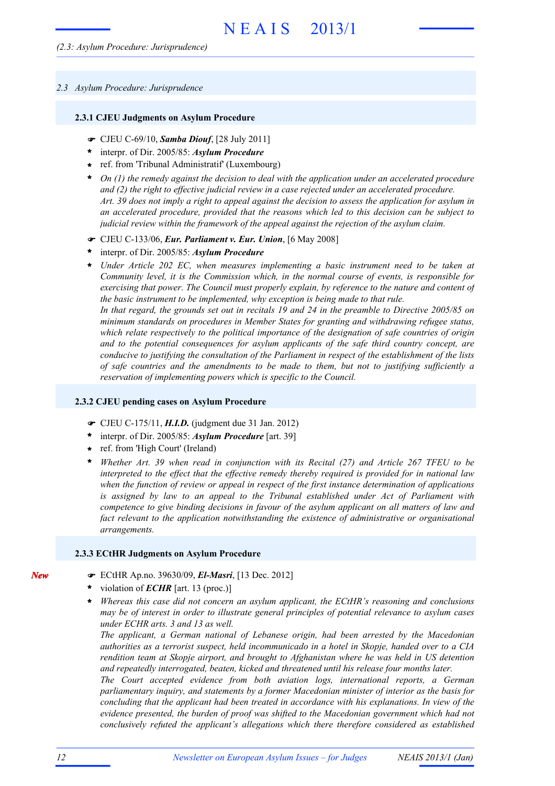#### *2.3 Asylum Procedure: Jurisprudence*

#### **2.3.1 CJEU Judgments on Asylum Procedure**

- ! CJEU C-69/10, *Samba Diouf*, [28 July 2011]
- interpr. of Dir. 2005/85: *Asylum Procedure* **\***
- ref. from 'Tribunal Administratif' (Luxembourg) **\***
- *On (1) the remedy against the decision to deal with the application under an accelerated procedure* **\*** *and (2) the right to effective judicial review in a case rejected under an accelerated procedure.* Art. 39 does not imply a right to appeal against the decision to assess the application for asylum in *an accelerated procedure, provided that the reasons which led to this decision can be subject to judicial review within the framework of the appeal against the rejection of the asylum claim.*
- ! CJEU C-133/06, *Eur. Parliament v. Eur. Union*, [6 May 2008]
- interpr. of Dir. 2005/85: *Asylum Procedure* **\***
- *Under Article 202 EC, when measures implementing a basic instrument need to be taken at Community level, it is the Commission which, in the normal course of events, is responsible for exercising that power. The Council must properly explain, by reference to the nature and content of the basic instrument to be implemented, why exception is being made to that rule.* In that regard, the grounds set out in recitals 19 and 24 in the preamble to Directive 2005/85 on *minimum standards on procedures in Member States for granting and withdrawing refugee status, which relate respectively to the political importance of the designation of safe countries of origin and to the potential consequences for asylum applicants of the safe third country concept, are conducive to justifying the consultation of the Parliament in respect of the establishment of the lists of safe countries and the amendments to be made to them, but not to justifying sufficiently a reservation of implementing powers which is specific to the Council.* **\***

#### **2.3.2 CJEU pending cases on Asylum Procedure**

- ! CJEU C-175/11, *H.I.D.* (judgment due 31 Jan. 2012)
- interpr. of Dir. 2005/85: *Asylum Procedure* [art. 39] **\***
- ref. from 'High Court' (Ireland) **\***
- *Whether Art. 39 when read in conjunction with its Recital (27) and Article 267 TFEU to be interpreted to the effect that the effective remedy thereby required is provided for in national law when the function of review or appeal in respect of the first instance determination of applications is assigned by law to an appeal to the Tribunal established under Act of Parliament with competence to give binding decisions in favour of the asylum applicant on all matters of law and fact relevant to the application notwithstanding the existence of administrative or organisational arrangements.* **\***

#### **2.3.3 ECtHR Judgments on Asylum Procedure**

- ! ECtHR Ap.no. 39630/09, *El-Masri*, [13 Dec. 2012]
- violation of *ECHR* [art. 13 (proc.)] **\***
- *Whereas this case did not concern an asylum applicant, the ECtHR's reasoning and conclusions may be of interest in order to illustrate general principles of potential relevance to asylum cases under ECHR arts. 3 and 13 as well.* **\***

*The applicant, a German national of Lebanese origin, had been arrested by the Macedonian authorities as a terrorist suspect, held incommunicado in a hotel in Skopje, handed over to a CIA rendition team at Skopje airport, and brought to Afghanistan where he was held in US detention and repeatedly interrogated, beaten, kicked and threatened until his release four months later.*

*The Court accepted evidence from both aviation logs, international reports, a German parliamentary inquiry, and statements by a former Macedonian minister of interior as the basis for concluding that the applicant had been treated in accordance with his explanations. In view of the evidence presented, the burden of proof was shifted to the Macedonian government which had not conclusively refuted the applicant's allegations which there therefore considered as established*

*New*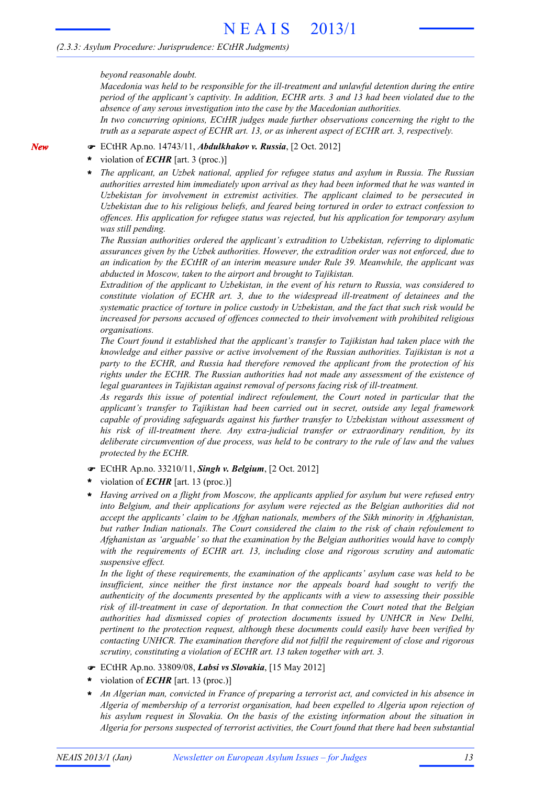*beyond reasonable doubt.*

*Macedonia was held to be responsible for the ill-treatment and unlawful detention during the entire period of the applicant's captivity. In addition, ECHR arts. 3 and 13 had been violated due to the absence of any serous investigation into the case by the Macedonian authorities.*

*In two concurring opinions, ECtHR judges made further observations concerning the right to the truth as a separate aspect of ECHR art. 13, or as inherent aspect of ECHR art. 3, respectively.*

#### ! ECtHR Ap.no. 14743/11, *Abdulkhakov v. Russia*, [2 Oct. 2012]

violation of *ECHR* [art. 3 (proc.)] **\***

*New*

*The applicant, an Uzbek national, applied for refugee status and asylum in Russia. The Russian authorities arrested him immediately upon arrival as they had been informed that he was wanted in Uzbekistan for involvement in extremist activities. The applicant claimed to be persecuted in Uzbekistan due to his religious beliefs, and feared being tortured in order to extract confession to offences. His application for refugee status was rejected, but his application for temporary asylum was still pending.* **\***

*The Russian authorities ordered the applicant's extradition to Uzbekistan, referring to diplomatic assurances given by the Uzbek authorities. However, the extradition order was not enforced, due to an indication by the ECtHR of an interim measure under Rule 39. Meanwhile, the applicant was abducted in Moscow, taken to the airport and brought to Tajikistan.*

*Extradition of the applicant to Uzbekistan, in the event of his return to Russia, was considered to constitute violation of ECHR art. 3, due to the widespread ill-treatment of detainees and the systematic practice of torture in police custody in Uzbekistan, and the fact that such risk would be increased for persons accused of offences connected to their involvement with prohibited religious organisations.*

*The Court found it established that the applicant's transfer to Tajikistan had taken place with the knowledge and either passive or active involvement of the Russian authorities. Tajikistan is not a party to the ECHR, and Russia had therefore removed the applicant from the protection of his rights under the ECHR. The Russian authorities had not made any assessment of the existence of legal guarantees in Tajikistan against removal of persons facing risk of ill-treatment.*

*As regards this issue of potential indirect refoulement, the Court noted in particular that the applicant's transfer to Tajikistan had been carried out in secret, outside any legal framework capable of providing safeguards against his further transfer to Uzbekistan without assessment of his risk of ill-treatment there. Any extra-judicial transfer or extraordinary rendition, by its deliberate circumvention of due process, was held to be contrary to the rule of law and the values protected by the ECHR.*

- ! ECtHR Ap.no. 33210/11, *Singh v. Belgium*, [2 Oct. 2012]
- violation of *ECHR* [art. 13 (proc.)] **\***
- *Having arrived on a flight from Moscow, the applicants applied for asylum but were refused entry into Belgium, and their applications for asylum were rejected as the Belgian authorities did not accept the applicants' claim to be Afghan nationals, members of the Sikh minority in Afghanistan, but rather Indian nationals. The Court considered the claim to the risk of chain refoulement to Afghanistan as 'arguable' so that the examination by the Belgian authorities would have to comply with the requirements of ECHR art. 13, including close and rigorous scrutiny and automatic suspensive effect.* **\***

*In the light of these requirements, the examination of the applicants' asylum case was held to be insufficient, since neither the first instance nor the appeals board had sought to verify the authenticity of the documents presented by the applicants with a view to assessing their possible risk of ill-treatment in case of deportation. In that connection the Court noted that the Belgian authorities had dismissed copies of protection documents issued by UNHCR in New Delhi, pertinent to the protection request, although these documents could easily have been verified by contacting UNHCR. The examination therefore did not fulfil the requirement of close and rigorous scrutiny, constituting a violation of ECHR art. 13 taken together with art. 3.*

- ! ECtHR Ap.no. 33809/08, *Labsi vs Slovakia*, [15 May 2012]
- violation of *ECHR* [art. 13 (proc.)] **\***
- *An Algerian man, convicted in France of preparing a terrorist act, and convicted in his absence in Algeria of membership of a terrorist organisation, had been expelled to Algeria upon rejection of his asylum request in Slovakia. On the basis of the existing information about the situation in Algeria for persons suspected of terrorist activities, the Court found that there had been substantial* **\***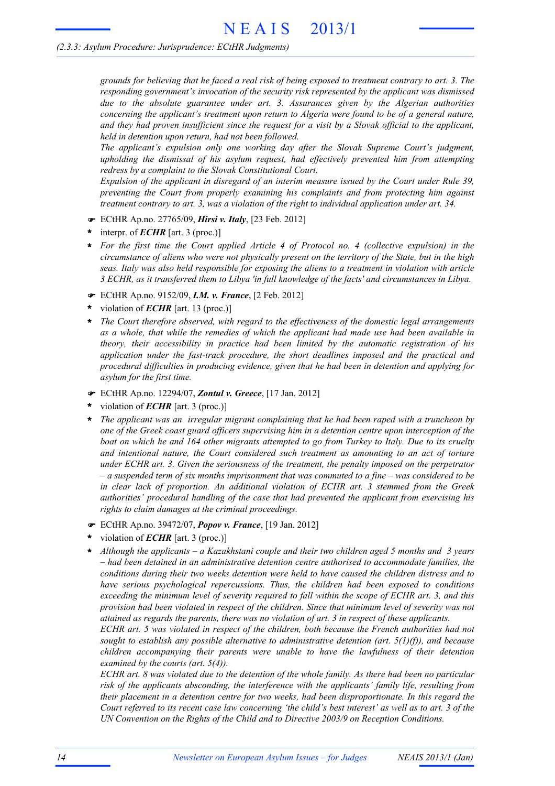grounds for believing that he faced a real risk of being exposed to treatment contrary to art. 3. The *responding government's invocation of the security risk represented by the applicant was dismissed due to the absolute guarantee under art. 3. Assurances given by the Algerian authorities concerning the applicant's treatment upon return to Algeria were found to be of a general nature,* and they had proven insufficient since the request for a visit by a Slovak official to the applicant, *held in detention upon return, had not been followed.*

*The applicant's expulsion only one working day after the Slovak Supreme Court's judgment, upholding the dismissal of his asylum request, had effectively prevented him from attempting redress by a complaint to the Slovak Constitutional Court.*

*Expulsion of the applicant in disregard of an interim measure issued by the Court under Rule 39, preventing the Court from properly examining his complaints and from protecting him against treatment contrary to art. 3, was a violation of the right to individual application under art. 34.*

- ! ECtHR Ap.no. 27765/09, *Hirsi v. Italy*, [23 Feb. 2012]
- interpr. of *ECHR* [art. 3 (proc.)] **\***
- *For the first time the Court applied Article 4 of Protocol no. 4 (collective expulsion) in the* circumstance of aliens who were not physically present on the territory of the State, but in the high *seas. Italy was also held responsible for exposing the aliens to a treatment in violation with article 3 ECHR, as it transferred them to Libya 'in full knowledge of the facts' and circumstances in Libya.* **\***
- ! ECtHR Ap.no. 9152/09, *I.M. v. France*, [2 Feb. 2012]
- violation of *ECHR* [art. 13 (proc.)] **\***
- *The Court therefore observed, with regard to the effectiveness of the domestic legal arrangements as a whole, that while the remedies of which the applicant had made use had been available in theory, their accessibility in practice had been limited by the automatic registration of his application under the fast-track procedure, the short deadlines imposed and the practical and procedural difficulties in producing evidence, given that he had been in detention and applying for asylum for the first time.* **\***
- ! ECtHR Ap.no. 12294/07, *Zontul v. Greece*, [17 Jan. 2012]
- violation of *ECHR* [art. 3 (proc.)] **\***
- *The applicant was an irregular migrant complaining that he had been raped with a truncheon by one of the Greek coast guard officers supervising him in a detention centre upon interception of the* boat on which he and 164 other migrants attempted to go from Turkey to Italy. Due to its cruelty *and intentional nature, the Court considered such treatment as amounting to an act of torture under ECHR art. 3. Given the seriousness of the treatment, the penalty imposed on the perpetrator*  $-a$  suspended term of six months imprisonment that was commuted to a fine – was considered to be *in clear lack of proportion. An additional violation of ECHR art. 3 stemmed from the Greek authorities' procedural handling of the case that had prevented the applicant from exercising his rights to claim damages at the criminal proceedings.* **\***
- ! ECtHR Ap.no. 39472/07, *Popov v. France*, [19 Jan. 2012]
- violation of *ECHR* [art. 3 (proc.)] **\***
- *Although the applicants – a Kazakhstani couple and their two children aged 5 months and 3 years – had been detained in an administrative detention centre authorised to accommodate families, the conditions during their two weeks detention were held to have caused the children distress and to have serious psychological repercussions. Thus, the children had been exposed to conditions exceeding the minimum level of severity required to fall within the scope of ECHR art. 3, and this provision had been violated in respect of the children. Since that minimum level of severity was not attained as regards the parents, there was no violation of art. 3 in respect of these applicants.* **\***

*ECHR art. 5 was violated in respect of the children, both because the French authorities had not sought to establish any possible alternative to administrative detention (art. 5(1)(f)), and because children accompanying their parents were unable to have the lawfulness of their detention examined by the courts (art. 5(4)).*

ECHR art. 8 was violated due to the detention of the whole family. As there had been no particular *risk of the applicants absconding, the interference with the applicants' family life, resulting from their placement in a detention centre for two weeks, had been disproportionate. In this regard the* Court referred to its recent case law concerning 'the child's best interest' as well as to art. 3 of the *UN Convention on the Rights of the Child and to Directive 2003/9 on Reception Conditions.*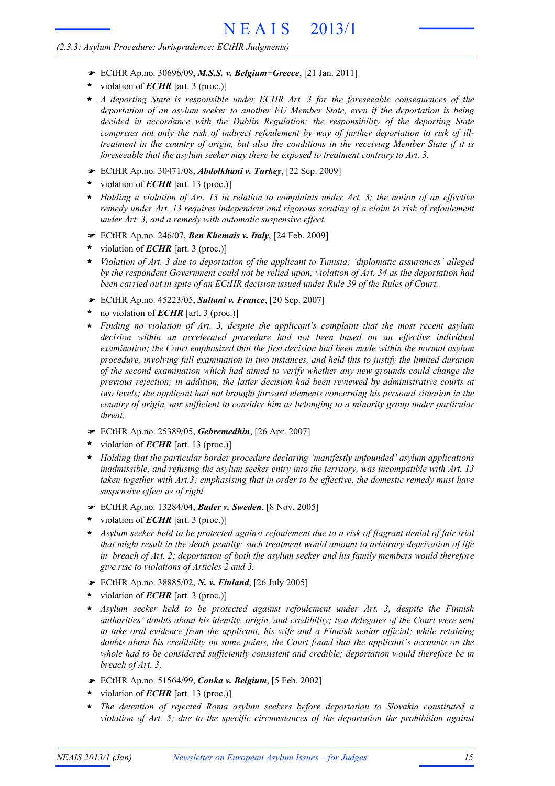- ! ECtHR Ap.no. 30696/09, *M.S.S. v. Belgium+Greece*, [21 Jan. 2011]
- violation of *ECHR* [art. 3 (proc.)] **\***
- *A deporting State is responsible under ECHR Art. 3 for the foreseeable consequences of the deportation of an asylum seeker to another EU Member State, even if the deportation is being decided in accordance with the Dublin Regulation; the responsibility of the deporting State comprises not only the risk of indirect refoulement by way of further deportation to risk of illtreatment in the country of origin, but also the conditions in the receiving Member State if it is foreseeable that the asylum seeker may there be exposed to treatment contrary to Art. 3.* **\***
- ! ECtHR Ap.no. 30471/08, *Abdolkhani v. Turkey*, [22 Sep. 2009]
- violation of *ECHR* [art. 13 (proc.)] **\***
- \* Holding a violation of Art. 13 in relation to complaints under Art. 3; the notion of an effective *remedy under Art. 13 requires independent and rigorous scrutiny of a claim to risk of refoulement under Art. 3, and a remedy with automatic suspensive effect.*
- ! ECtHR Ap.no. 246/07, *Ben Khemais v. Italy*, [24 Feb. 2009]
- violation of *ECHR* [art. 3 (proc.)] **\***
- *Violation of Art. 3 due to deportation of the applicant to Tunisia; 'diplomatic assurances' alleged* **\*** *by the respondent Government could not be relied upon; violation of Art. 34 as the deportation had been carried out in spite of an ECtHR decision issued under Rule 39 of the Rules of Court.*
- ! ECtHR Ap.no. 45223/05, *Sultani v. France*, [20 Sep. 2007]
- no violation of *ECHR* [art. 3 (proc.)] **\***
- *Finding no violation of Art. 3, despite the applicant's complaint that the most recent asylum* **\*** *decision within an accelerated procedure had not been based on an effective individual examination; the Court emphasized that the first decision had been made within the normal asylum procedure, involving full examination in two instances, and held this to justify the limited duration of the second examination which had aimed to verify whether any new grounds could change the previous rejection; in addition, the latter decision had been reviewed by administrative courts at two levels; the applicant had not brought forward elements concerning his personal situation in the country of origin, nor sufficient to consider him as belonging to a minority group under particular threat.*
- ! ECtHR Ap.no. 25389/05, *Gebremedhin*, [26 Apr. 2007]
- violation of *ECHR* [art. 13 (proc.)] **\***
- *Holding that the particular border procedure declaring 'manifestly unfounded' asylum applications inadmissible, and refusing the asylum seeker entry into the territory, was incompatible with Art. 13 taken together with Art.3; emphasising that in order to be effective, the domestic remedy must have suspensive effect as of right.* **\***
- ! ECtHR Ap.no. 13284/04, *Bader v. Sweden*, [8 Nov. 2005]
- violation of *ECHR* [art. 3 (proc.)] **\***
- \* Asylum seeker held to be protected against refoulement due to a risk of flagrant denial of fair trial *that might result in the death penalty; such treatment would amount to arbitrary deprivation of life in breach of Art. 2; deportation of both the asylum seeker and his family members would therefore give rise to violations of Articles 2 and 3.*
- ! ECtHR Ap.no. 38885/02, *N. v. Finland*, [26 July 2005]
- violation of *ECHR* [art. 3 (proc.)] **\***
- *Asylum seeker held to be protected against refoulement under Art. 3, despite the Finnish* **\*** *authorities' doubts about his identity, origin, and credibility; two delegates of the Court were sent to take oral evidence from the applicant, his wife and a Finnish senior official; while retaining doubts about his credibility on some points, the Court found that the applicant's accounts on the whole had to be considered sufficiently consistent and credible; deportation would therefore be in breach of Art. 3.*
- ! ECtHR Ap.no. 51564/99, *Conka v. Belgium*, [5 Feb. 2002]
- violation of *ECHR* [art. 13 (proc.)] **\***
- *The detention of rejected Roma asylum seekers before deportation to Slovakia constituted a violation of Art. 5; due to the specific circumstances of the deportation the prohibition against* **\***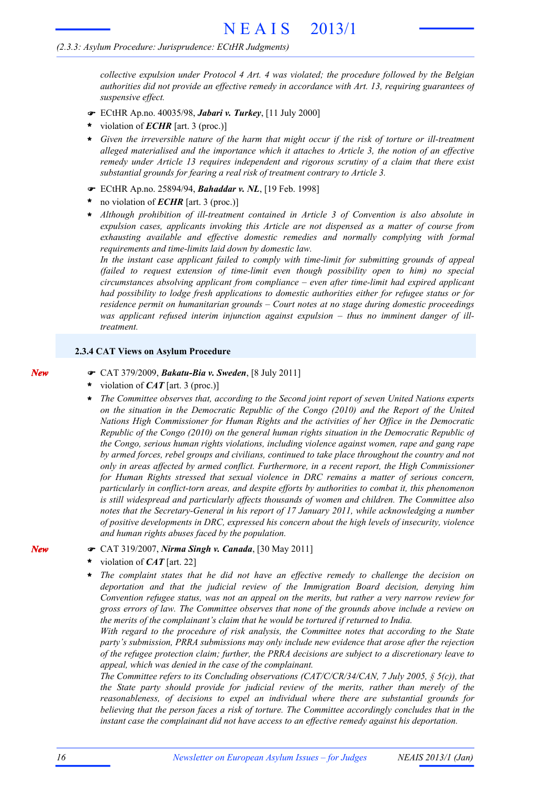*collective expulsion under Protocol 4 Art. 4 was violated; the procedure followed by the Belgian authorities did not provide an effective remedy in accordance with Art. 13, requiring guarantees of suspensive effect.*

- ! ECtHR Ap.no. 40035/98, *Jabari v. Turkey*, [11 July 2000]
- violation of *ECHR* [art. 3 (proc.)] **\***
- *Given the irreversible nature of the harm that might occur if the risk of torture or ill-treatment alleged materialised and the importance which it attaches to Article 3, the notion of an effective remedy under Article 13 requires independent and rigorous scrutiny of a claim that there exist substantial grounds for fearing a real risk of treatment contrary to Article 3.* **\***
- ! ECtHR Ap.no. 25894/94, *Bahaddar v. NL*, [19 Feb. 1998]
- no violation of *ECHR* [art. 3 (proc.)] **\***
- *Although prohibition of ill-treatment contained in Article 3 of Convention is also absolute in expulsion cases, applicants invoking this Article are not dispensed as a matter of course from exhausting available and effective domestic remedies and normally complying with formal requirements and time-limits laid down by domestic law.* **\***

*In the instant case applicant failed to comply with time-limit for submitting grounds of appeal (failed to request extension of time-limit even though possibility open to him) no special circumstances absolving applicant from compliance – even after time-limit had expired applicant had possibility to lodge fresh applications to domestic authorities either for refugee status or for residence permit on humanitarian grounds – Court notes at no stage during domestic proceedings was applicant refused interim injunction against expulsion – thus no imminent danger of illtreatment.*

#### **2.3.4 CAT Views on Asylum Procedure**

- ! CAT 379/2009, *Bakatu-Bia v. Sweden*, [8 July 2011]
- violation of *CAT* [art. 3 (proc.)] **\***
- *The Committee observes that, according to the Second joint report of seven United Nations experts on the situation in the Democratic Republic of the Congo (2010) and the Report of the United Nations High Commissioner for Human Rights and the activities of her Office in the Democratic Republic of the Congo (2010) on the general human rights situation in the Democratic Republic of the Congo, serious human rights violations, including violence against women, rape and gang rape by armed forces, rebel groups and civilians, continued to take place throughout the country and not only in areas affected by armed conflict. Furthermore, in a recent report, the High Commissioner for Human Rights stressed that sexual violence in DRC remains a matter of serious concern, particularly in conflict-torn areas, and despite efforts by authorities to combat it, this phenomenon is still widespread and particularly affects thousands of women and children. The Committee also notes that the Secretary-General in his report of 17 January 2011, while acknowledging a number of positive developments in DRC, expressed his concern about the high levels of insecurity, violence and human rights abuses faced by the population.* **\***
- ! CAT 319/2007, *Nirma Singh v. Canada*, [30 May 2011]
- violation of *CAT* [art. 22] **\***
- *The complaint states that he did not have an effective remedy to challenge the decision on deportation and that the judicial review of the Immigration Board decision, denying him Convention refugee status, was not an appeal on the merits, but rather a very narrow review for gross errors of law. The Committee observes that none of the grounds above include a review on the merits of the complainant's claim that he would be tortured if returned to India.* **\***

*With regard to the procedure of risk analysis, the Committee notes that according to the State party's submission, PRRA submissions may only include new evidence that arose after the rejection of the refugee protection claim; further, the PRRA decisions are subject to a discretionary leave to appeal, which was denied in the case of the complainant.*

*The Committee refers to its Concluding observations (CAT/C/CR/34/CAN, 7 July 2005, § 5(c)), that the State party should provide for judicial review of the merits, rather than merely of the reasonableness, of decisions to expel an individual where there are substantial grounds for believing that the person faces a risk of torture. The Committee accordingly concludes that in the instant case the complainant did not have access to an effective remedy against his deportation.*

*New*

*New*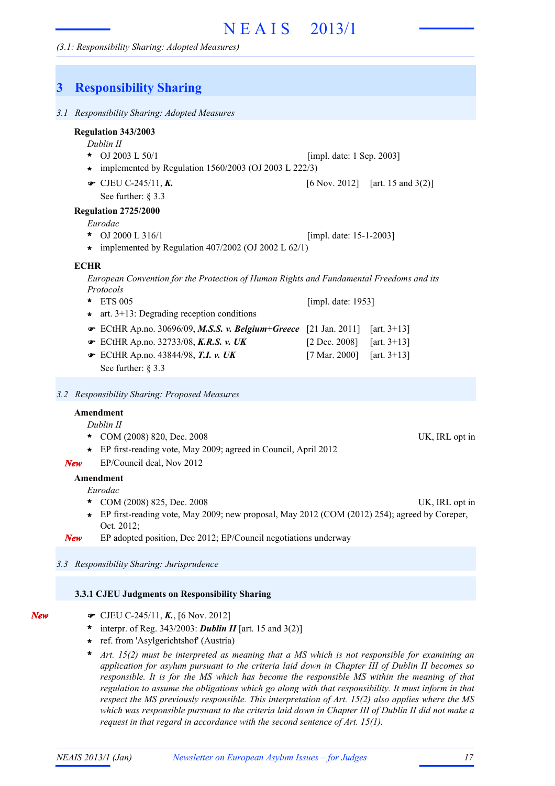## **3 Responsibility Sharing** *3.1 Responsibility Sharing: Adopted Measures Dublin II* OJ 2003 L 50/1 **\***  $[6 \text{ Nov. } 2012]$  [art. 15 and 3(2)] See further: § 3.3 **Regulation 343/2003** [impl. date: 1 Sep. 2003]  $\bullet$  CJEU C-245/11, K. **\*** implemented by Regulation 1560/2003 (OJ 2003 L 222/3) *Eurodac* OJ 2000 L 316/1 **Regulation 2725/2000 \*** [impl. date: 15-1-2003] **\*** implemented by Regulation 407/2002 (OJ 2002 L 62/1) *European Convention for the Protection of Human Rights and Fundamental Freedoms and its Protocols* ETS 005 **\*** ECtHR Ap.no. 30696/09, *M.S.S. v. Belgium+Greece* [21 Jan. 2011] [art. 3+13] ! ECtHR Ap.no. 32733/08, *K.R.S. v. UK* [2 Dec. 2008] [art. 3+13] ! ECtHR Ap.no. 43844/98, *T.I. v. UK* [7 Mar. 2000] [art. 3+13] ! See further: § 3.3 [impl. date: 1953] **\*** art. 3+13: Degrading reception conditions **ECHR** *3.2 Responsibility Sharing: Proposed Measures Dublin II* \* COM (2008) 820, Dec. 2008 UK, IRL opt in **Amendment \*** EP first-reading vote, May 2009; agreed in Council, April 2012 *New* EP/Council deal, Nov 2012 *Eurodac* \* COM (2008) 825, Dec. 2008 UK, IRL opt in **Amendment** EP first-reading vote, May 2009; new proposal, May 2012 (COM (2012) 254); agreed by Coreper, **\*** Oct. 2012; *New* EP adopted position, Dec 2012; EP/Council negotiations underway *3.3 Responsibility Sharing: Jurisprudence*

#### **3.3.1 CJEU Judgments on Responsibility Sharing**

| ۰, | ×<br>× |
|----|--------|

- ! CJEU C-245/11, *K.*, [6 Nov. 2012]
- \* interpr. of Reg.  $343/2003$ : **Dublin II** [art. 15 and  $3(2)$ ]
- ref. from 'Asylgerichtshof' (Austria) **\***
- *Art. 15(2) must be interpreted as meaning that a MS which is not responsible for examining an application for asylum pursuant to the criteria laid down in Chapter III of Dublin II becomes so responsible. It is for the MS which has become the responsible MS within the meaning of that regulation to assume the obligations which go along with that responsibility. It must inform in that respect the MS previously responsible. This interpretation of Art. 15(2) also applies where the MS* which was responsible pursuant to the criteria laid down in Chapter III of Dublin II did not make a *request in that regard in accordance with the second sentence of Art. 15(1).* **\***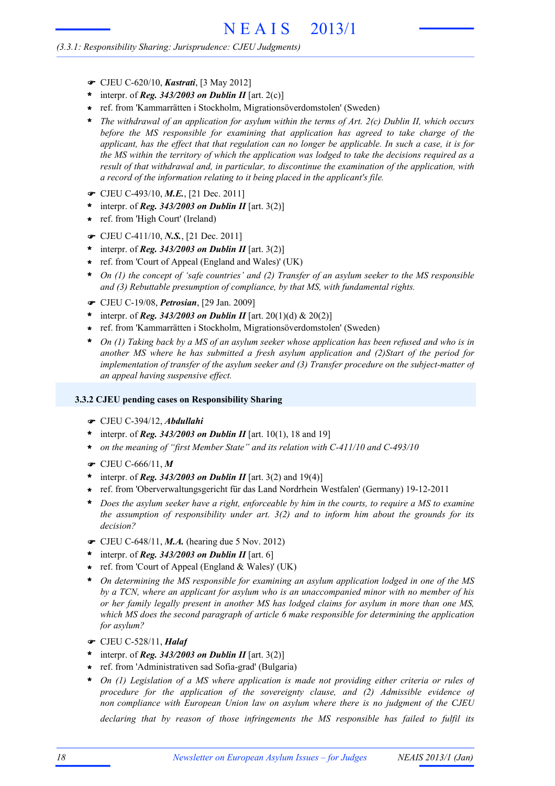#### *(3.3.1: Responsibility Sharing: Jurisprudence: CJEU Judgments)*

- ! CJEU C-620/10, *Kastrati*, [3 May 2012]
- \* interpr. of *Reg.* 343/2003 on Dublin II [art. 2(c)]
- ref. from 'Kammarrätten i Stockholm, Migrationsöverdomstolen' (Sweden) **\***
- *The withdrawal of an application for asylum within the terms of Art. 2(c) Dublin II, which occurs before the MS responsible for examining that application has agreed to take charge of the* applicant, has the effect that that regulation can no longer be applicable. In such a case, it is for the MS within the territory of which the application was lodged to take the decisions required as a *result of that withdrawal and, in particular, to discontinue the examination of the application, with a record of the information relating to it being placed in the applicant's file.* **\***
- ! CJEU C-493/10, *M.E.*, [21 Dec. 2011]
- \* interpr. of *Reg.* 343/2003 on Dublin II [art. 3(2)]
- ref. from 'High Court' (Ireland) **\***
- ! CJEU C-411/10, *N.S.*, [21 Dec. 2011]
- \* interpr. of *Reg.* 343/2003 on Dublin II [art. 3(2)]
- ref. from 'Court of Appeal (England and Wales)' (UK) **\***
- *On (1) the concept of 'safe countries' and (2) Transfer of an asylum seeker to the MS responsible and (3) Rebuttable presumption of compliance, by that MS, with fundamental rights.* **\***
- ! CJEU C-19/08, *Petrosian*, [29 Jan. 2009]
- \* interpr. of *Reg.* 343/2003 on Dublin II [art. 20(1)(d) & 20(2)]
- ref. from 'Kammarrätten i Stockholm, Migrationsöverdomstolen' (Sweden) **\***
- On (1) Taking back by a MS of an asylum seeker whose application has been refused and who is in *another MS where he has submitted a fresh asylum application and (2)Start of the period for implementation of transfer of the asylum seeker and (3) Transfer procedure on the subject-matter of an appeal having suspensive effect.* **\***

#### **3.3.2 CJEU pending cases on Responsibility Sharing**

- ! CJEU C-394/12, *Abdullahi*
- \* interpr. of *Reg.* 343/2003 on Dublin II [art. 10(1), 18 and 19]
- *on the meaning of "first Member State" and its relation with C-411/10 and C-493/10* **\***
- ! CJEU C-666/11, *M*
- interpr. of *Reg. 343/2003 on Dublin II* [art. 3(2) and 19(4)] **\***
- ref. from 'Oberverwaltungsgericht für das Land Nordrhein Westfalen' (Germany) 19-12-2011 **\***
- Does the asylum seeker have a right, enforceable by him in the courts, to require a MS to examine *the assumption of responsibility under art. 3(2) and to inform him about the grounds for its decision?* **\***
- ! CJEU C-648/11, *M.A.* (hearing due 5 Nov. 2012)
- interpr. of *Reg. 343/2003 on Dublin II* [art. 6] **\***
- ref. from 'Court of Appeal (England & Wales)' (UK) **\***
- *On determining the MS responsible for examining an asylum application lodged in one of the MS by a TCN, where an applicant for asylum who is an unaccompanied minor with no member of his or her family legally present in another MS has lodged claims for asylum in more than one MS, which MS does the second paragraph of article 6 make responsible for determining the application for asylum?* **\***
- ! CJEU C-528/11, *Halaf*
- interpr. of *Reg. 343/2003 on Dublin II* [art. 3(2)] **\***
- ref. from 'Administrativen sad Sofia-grad' (Bulgaria) **\***
- *On (1) Legislation of a MS where application is made not providing either criteria or rules of procedure for the application of the sovereignty clause, and (2) Admissible evidence of non compliance with European Union law on asylum where there is no judgment of the CJEU* **\***

*declaring that by reason of those infringements the MS responsible has failed to fulfil its*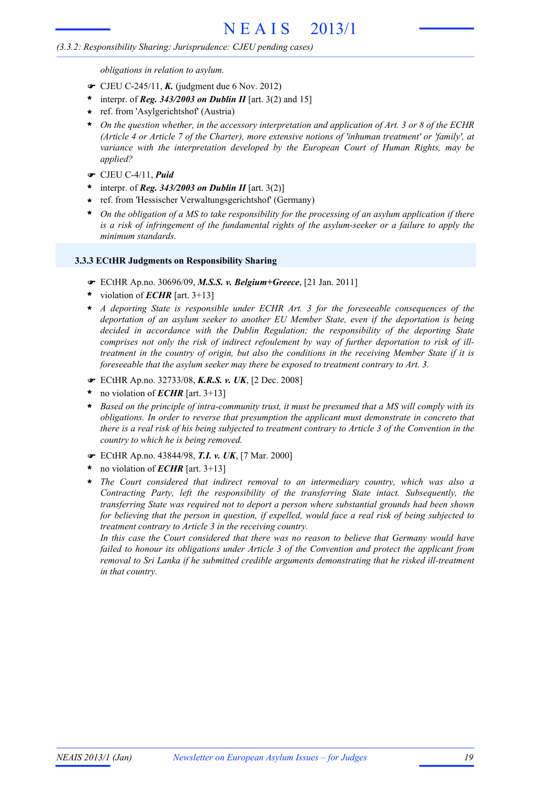## *(3.3.2: Responsibility Sharing: Jurisprudence: CJEU pending cases)*

*obligations in relation to asylum.*

- $\bullet$  CJEU C-245/11, **K.** (judgment due 6 Nov. 2012)
- interpr. of *Reg. 343/2003 on Dublin II* [art. 3(2) and 15] **\***
- ref. from 'Asylgerichtshof' (Austria) **\***
- On the question whether, in the accessory interpretation and application of Art. 3 or 8 of the ECHR *(Article 4 or Article 7 of the Charter), more extensive notions of 'inhuman treatment' or 'family', at variance with the interpretation developed by the European Court of Human Rights, may be applied?* **\***
- ! CJEU C-4/11, *Puid*
- interpr. of *Reg. 343/2003 on Dublin II* [art. 3(2)] **\***
- ref. from 'Hessischer Verwaltungsgerichtshof' (Germany) **\***
- On the obligation of a MS to take responsibility for the processing of an asylum application if there *is a risk of infringement of the fundamental rights of the asylum-seeker or a failure to apply the minimum standards.* **\***

## **3.3.3 ECtHR Judgments on Responsibility Sharing**

- ! ECtHR Ap.no. 30696/09, *M.S.S. v. Belgium+Greece*, [21 Jan. 2011]
- violation of *ECHR* [art. 3+13] **\***
- *A deporting State is responsible under ECHR Art. 3 for the foreseeable consequences of the deportation of an asylum seeker to another EU Member State, even if the deportation is being decided in accordance with the Dublin Regulation; the responsibility of the deporting State comprises not only the risk of indirect refoulement by way of further deportation to risk of illtreatment in the country of origin, but also the conditions in the receiving Member State if it is foreseeable that the asylum seeker may there be exposed to treatment contrary to Art. 3.* **\***
- ! ECtHR Ap.no. 32733/08, *K.R.S. v. UK*, [2 Dec. 2008]
- no violation of *ECHR* [art. 3+13] **\***
- Based on the principle of intra-community trust, it must be presumed that a MS will comply with its *obligations. In order to reverse that presumption the applicant must demonstrate in concreto that* there is a real risk of his being subjected to treatment contrary to Article 3 of the Convention in the *country to which he is being removed.* **\***
- ! ECtHR Ap.no. 43844/98, *T.I. v. UK*, [7 Mar. 2000]
- no violation of *ECHR* [art. 3+13] **\***
- *The Court considered that indirect removal to an intermediary country, which was also a Contracting Party, left the responsibility of the transferring State intact. Subsequently, the transferring State was required not to deport a person where substantial grounds had been shown* for believing that the person in question, if expelled, would face a real risk of being subjected to *treatment contrary to Article 3 in the receiving country.* **\***

*In this case the Court considered that there was no reason to believe that Germany would have failed to honour its obligations under Article 3 of the Convention and protect the applicant from removal to Sri Lanka if he submitted credible arguments demonstrating that he risked ill-treatment in that country.*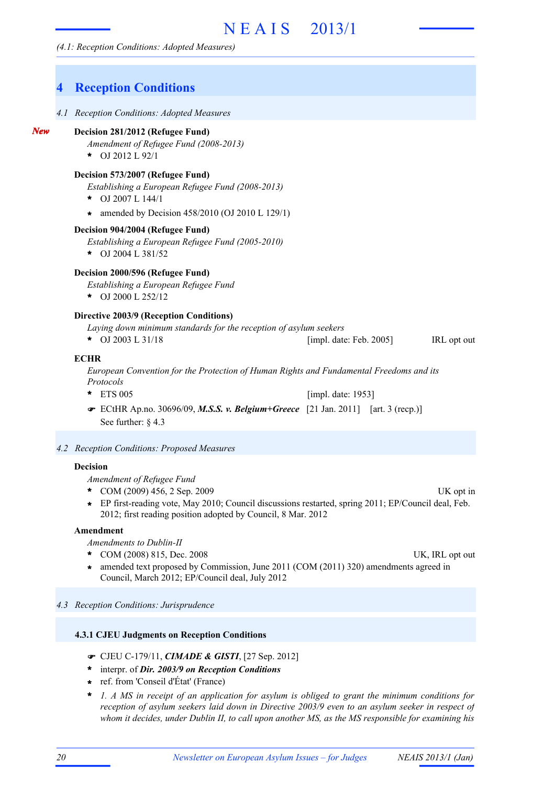#### *(4.1: Reception Conditions: Adopted Measures)*

## **4 Reception Conditions**

*4.1 Reception Conditions: Adopted Measures*

#### **Decision 281/2012 (Refugee Fund)**

*New*

- *Amendment of Refugee Fund (2008-2013)*
- OJ 2012 L 92/1 **\***

#### **Decision 573/2007 (Refugee Fund)**

*Establishing a European Refugee Fund (2008-2013)*

- OJ 2007 L 144/1 **\***
- amended by Decision 458/2010 (OJ 2010 L 129/1) **\***

#### **Decision 904/2004 (Refugee Fund)**

- *Establishing a European Refugee Fund (2005-2010)*
- OJ 2004 L 381/52 **\***

#### **Decision 2000/596 (Refugee Fund)**

*Establishing a European Refugee Fund*

OJ 2000 L 252/12 **\***

#### **Directive 2003/9 (Reception Conditions)**

- *Laying down minimum standards for the reception of asylum seekers*
- **\*** OJ 2003 L 31/18 **IRL opt out**  $\begin{bmatrix} \text{impl. date: Feb. 2005} \end{bmatrix}$  IRL opt out

#### **ECHR**

*European Convention for the Protection of Human Rights and Fundamental Freedoms and its Protocols*

- ETS 005 **\*** [impl. date: 1953]
- ECtHR Ap.no. 30696/09, *M.S.S. v. Belgium+Greece* [21 Jan. 2011] [art. 3 (recp.)] ! See further: § 4.3

#### *4.2 Reception Conditions: Proposed Measures*

#### **Decision**

*Amendment of Refugee Fund*

- COM (2009) 456, 2 Sep. 2009 UK opt in **\***
- EP first-reading vote, May 2010; Council discussions restarted, spring 2011; EP/Council deal, Feb. 2012; first reading position adopted by Council, 8 Mar. 2012 **\***

#### **Amendment**

*Amendments to Dublin-II*

- COM (2008) 815, Dec. 2008 UK, IRL opt out **\***
	-
- amended text proposed by Commission, June 2011 (COM (2011) 320) amendments agreed in Council, March 2012; EP/Council deal, July 2012 **\***

*4.3 Reception Conditions: Jurisprudence*

#### **4.3.1 CJEU Judgments on Reception Conditions**

- ! CJEU C-179/11, *CIMADE & GISTI*, [27 Sep. 2012]
- interpr. of *Dir. 2003/9 on Reception Conditions* **\***
- ref. from 'Conseil d'État' (France) **\***
- *1. A MS in receipt of an application for asylum is obliged to grant the minimum conditions for reception of asylum seekers laid down in Directive 2003/9 even to an asylum seeker in respect of whom it decides, under Dublin II, to call upon another MS, as the MS responsible for examining his* **\***